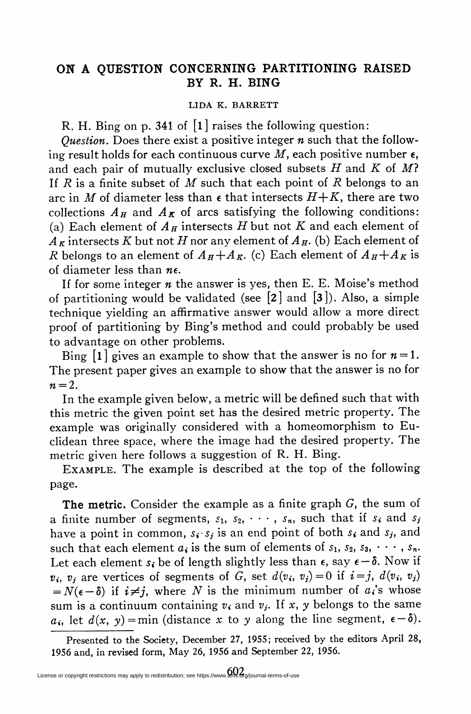## ON A QUESTION CONCERNING PARTITIONING RAISED BY R. H. BING

## LIDA K. BARRETT

R. H. Bing on p. 341 of [l] raises the following question:

*Question*. Does there exist a positive integer  $n$  such that the following result holds for each continuous curve  $M$ , each positive number  $\epsilon$ , and each pair of mutually exclusive closed subsets H and K of M? If  $R$  is a finite subset of  $M$  such that each point of  $R$  belongs to an arc in M of diameter less than  $\epsilon$  that intersects  $H+K$ , there are two collections  $A_H$  and  $A_K$  of arcs satisfying the following conditions: (a) Each element of  $A_H$  intersects H but not K and each element of  $A_K$  intersects K but not H nor any element of  $A_H$ . (b) Each element of R belongs to an element of  $A_H+A_K$ . (c) Each element of  $A_H+A_K$  is of diameter less than  $n\epsilon$ .

If for some integer  $n$  the answer is yes, then E. E. Moise's method of partitioning would be validated (see  $[2]$  and  $[3]$ ). Also, a simple technique yielding an affirmative answer would allow a more direct proof of partitioning by Bing's method and could probably be used to advantage on other problems.

Bing  $[1]$  gives an example to show that the answer is no for  $n = 1$ . The present paper gives an example to show that the answer is no for  $n = 2$ .

In the example given below, a metric will be defined such that with this metric the given point set has the desired metric property. The example was originally considered with a homeomorphism to Euclidean three space, where the image had the desired property. The metric given here follows a suggestion of R. H. Bing.

Example. The example is described at the top of the following page.

The metric. Consider the example as a finite graph  $G$ , the sum of a finite number of segments,  $s_1$ ,  $s_2$ ,  $\cdots$ ,  $s_n$ , such that if  $s_i$  and  $s_j$ have a point in common,  $s_i \cdot s_j$  is an end point of both  $s_i$  and  $s_j$ , and such that each element  $a_i$  is the sum of elements of  $s_1, s_2, s_3, \cdots, s_n$ . Let each element  $s_i$  be of length slightly less than  $\epsilon$ , say  $\epsilon - \delta$ . Now if  $v_i$ ,  $v_j$  are vertices of segments of G, set  $d(v_i, v_j)=0$  if  $i=j$ ,  $d(v_i, v_j)$  $N(\epsilon - \delta)$  if  $i \neq j$ , where N is the minimum number of a,'s whose sum is a continuum containing  $v_i$  and  $v_j$ . If x, y belongs to the same  $a_i$ , let  $d(x, y) = min$  (distance x to y along the line segment,  $\epsilon - \delta$ ).

Presented to the Society, December 27, 1955; received by the editors April 28, 1956 and, in revised form, May 26, 1956 and September 22, 1956.